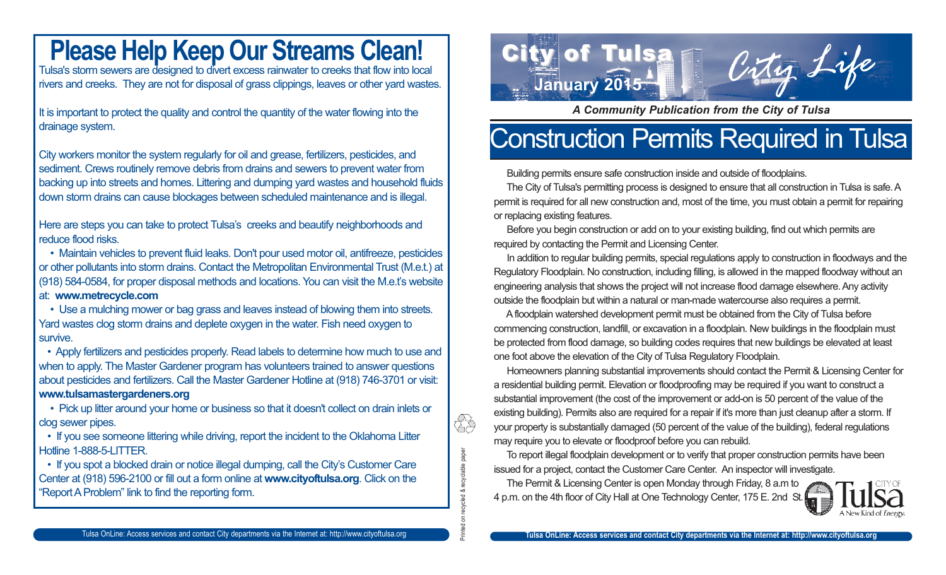### **Please Help Keep Our Streams Clean!**

Tulsa's storm sewers are designed to divert excess rainwater to creeks that flow into local rivers and creeks. They are not for disposal of grass clippings, leaves or other yard wastes.

It is important to protect the quality and control the quantity of the water flowing into the drainage system.

City workers monitor the system regularly for oil and grease, fertilizers, pesticides, and sediment. Crews routinely remove debris from drains and sewers to prevent water from backing up into streets and homes. Littering and dumping yard wastes and household fluids down storm drains can cause blockages between scheduled maintenance and is illegal.

Here are steps you can take to protect Tulsa's creeks and beautify neighborhoods and reduce flood risks.

• Maintain vehicles to prevent fluid leaks. Don't pour used motor oil, antifreeze, pesticides or other pollutants into storm drains. Contact the Metropolitan Environmental Trust (M.e.t.) at (918) 584-0584, for proper disposal methods and locations. You can visit the M.e.t's website at: **www.metrecycle.com**

• Use a mulching mower or bag grass and leaves instead of blowing them into streets. Yard wastes clog storm drains and deplete oxygen in the water. Fish need oxygen to survive.

• Apply fertilizers and pesticides properly. Read labels to determine how much to use and when to apply. The Master Gardener program has volunteers trained to answer questions about pesticides and fertilizers. Call the Master Gardener Hotline at (918) 746-3701 or visit: **www.tulsamastergardeners.org**

• Pick up litter around your home or business so that it doesn't collect on drain inlets or clog sewer pipes.

• If you see someone littering while driving, report the incident to the Oklahoma Litter Hotline 1-888-5-LITTER.

• If you spot a blocked drain or notice illegal dumping, call the City's Customer Care Center at (918) 596-2100 or fill out a form online at **www.cityoftulsa.org**. Click on the "Report A Problem" link to find the reporting form.



*A Community Publication from the City of Tulsa*

## Construction Permits Required in Tulsa

Building permits ensure safe construction inside and outside of floodplains.

The City of Tulsa's permitting process is designed to ensure that all construction in Tulsa is safe. A permit is required for all new construction and, most of the time, you must obtain a permit for repairing or replacing existing features.

Before you begin construction or add on to your existing building, find out which permits are required by contacting the Permit and Licensing Center.

In addition to regular building permits, special regulations apply to construction in floodways and the Regulatory Floodplain. No construction, including filling, is allowed in the mapped floodway without an engineering analysis that shows the project will not increase flood damage elsewhere. Any activity outside the floodplain but within a natural or man-made watercourse also requires a permit.

A floodplain watershed development permit must be obtained from the City of Tulsa before commencing construction, landfill, or excavation in a floodplain. New buildings in the floodplain must be protected from flood damage, so building codes requires that new buildings be elevated at least one foot above the elevation of the City of Tulsa Regulatory Floodplain.

Homeowners planning substantial improvements should contact the Permit & Licensing Center for a residential building permit. Elevation or floodproofing may be required if you want to construct a substantial improvement (the cost of the improvement or add-on is 50 percent of the value of the existing building). Permits also are required for a repair if it's more than just cleanup after a storm. If your property is substantially damaged (50 percent of the value of the building), federal regulations may require you to elevate or floodproof before you can rebuild.

To report illegal floodplain development or to verify that proper construction permits have been issued for a project, contact the Customer Care Center. An inspector will investigate.

The Permit & Licensing Center is open Monday through Friday, 8 a.m to 4 p.m. on the 4th floor of City Hall at One Technology Center, 175 E. 2nd St.

Printed on recycled & recyclable paper

ded & recyclable paper

ÎS